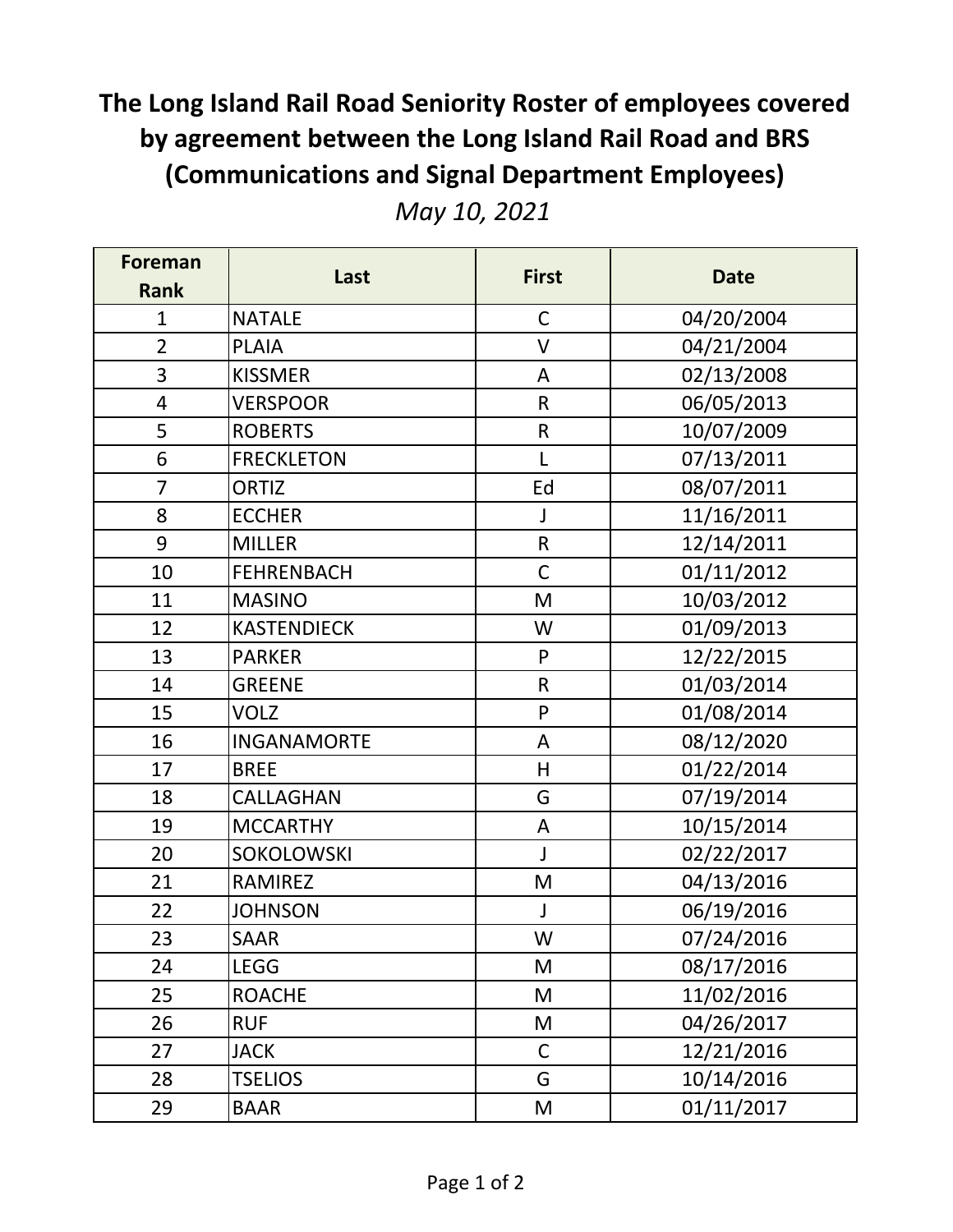## **The Long Island Rail Road Seniority Roster of employees covered by agreement between the Long Island Rail Road and BRS (Communications and Signal Department Employees)**

|  | May 10, 2021 |
|--|--------------|
|--|--------------|

| <b>Foreman</b> | Last               | <b>First</b>   | <b>Date</b> |
|----------------|--------------------|----------------|-------------|
| <b>Rank</b>    |                    |                |             |
| $\mathbf{1}$   | <b>NATALE</b>      | $\mathsf C$    | 04/20/2004  |
| $\overline{2}$ | <b>PLAIA</b>       | $\overline{V}$ | 04/21/2004  |
| 3              | <b>KISSMER</b>     | A              | 02/13/2008  |
| 4              | <b>VERSPOOR</b>    | $\mathsf{R}$   | 06/05/2013  |
| 5              | <b>ROBERTS</b>     | $\mathsf R$    | 10/07/2009  |
| 6              | <b>FRECKLETON</b>  | L              | 07/13/2011  |
| $\overline{7}$ | <b>ORTIZ</b>       | Ed             | 08/07/2011  |
| 8              | <b>ECCHER</b>      | J              | 11/16/2011  |
| 9              | <b>MILLER</b>      | $\mathsf R$    | 12/14/2011  |
| 10             | <b>FEHRENBACH</b>  | $\mathsf{C}$   | 01/11/2012  |
| 11             | <b>MASINO</b>      | M              | 10/03/2012  |
| 12             | <b>KASTENDIECK</b> | W              | 01/09/2013  |
| 13             | <b>PARKER</b>      | P              | 12/22/2015  |
| 14             | <b>GREENE</b>      | $\mathsf{R}$   | 01/03/2014  |
| 15             | <b>VOLZ</b>        | P              | 01/08/2014  |
| 16             | <b>INGANAMORTE</b> | A              | 08/12/2020  |
| 17             | <b>BREE</b>        | H              | 01/22/2014  |
| 18             | CALLAGHAN          | G              | 07/19/2014  |
| 19             | <b>MCCARTHY</b>    | A              | 10/15/2014  |
| 20             | <b>SOKOLOWSKI</b>  | J              | 02/22/2017  |
| 21             | <b>RAMIREZ</b>     | M              | 04/13/2016  |
| 22             | <b>JOHNSON</b>     | J              | 06/19/2016  |
| 23             | <b>SAAR</b>        | W              | 07/24/2016  |
| 24             | <b>LEGG</b>        | M              | 08/17/2016  |
| 25             | <b>ROACHE</b>      | M              | 11/02/2016  |
| 26             | <b>RUF</b>         | M              | 04/26/2017  |
| 27             | <b>JACK</b>        | $\mathsf C$    | 12/21/2016  |
| 28             | <b>TSELIOS</b>     | G              | 10/14/2016  |
| 29             | <b>BAAR</b>        | M              | 01/11/2017  |